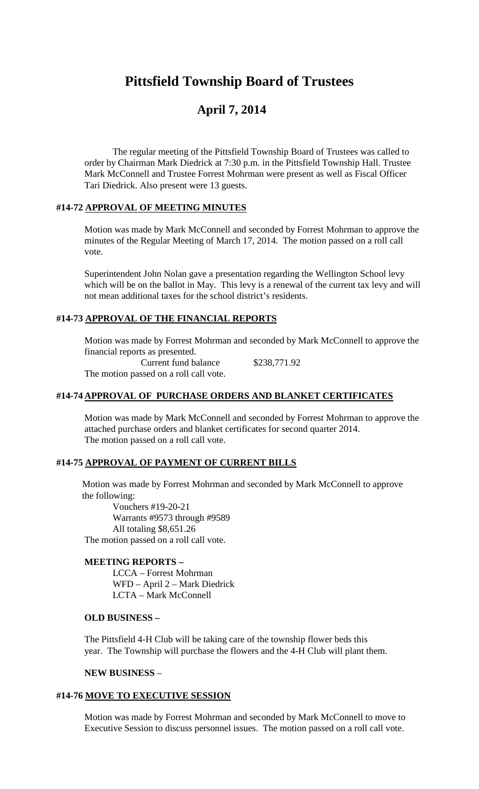# **Pittsfield Township Board of Trustees**

## **April 7, 2014**

The regular meeting of the Pittsfield Township Board of Trustees was called to order by Chairman Mark Diedrick at 7:30 p.m. in the Pittsfield Township Hall. Trustee Mark McConnell and Trustee Forrest Mohrman were present as well as Fiscal Officer Tari Diedrick. Also present were 13 guests.

#### **#14-72 APPROVAL OF MEETING MINUTES**

Motion was made by Mark McConnell and seconded by Forrest Mohrman to approve the minutes of the Regular Meeting of March 17, 2014. The motion passed on a roll call vote.

Superintendent John Nolan gave a presentation regarding the Wellington School levy which will be on the ballot in May. This levy is a renewal of the current tax levy and will not mean additional taxes for the school district's residents.

## **#14-73 APPROVAL OF THE FINANCIAL REPORTS**

Motion was made by Forrest Mohrman and seconded by Mark McConnell to approve the financial reports as presented.

Current fund balance \$238,771.92 The motion passed on a roll call vote.

## **#14-74 APPROVAL OF PURCHASE ORDERS AND BLANKET CERTIFICATES**

Motion was made by Mark McConnell and seconded by Forrest Mohrman to approve the attached purchase orders and blanket certificates for second quarter 2014. The motion passed on a roll call vote.

## **#14-75 APPROVAL OF PAYMENT OF CURRENT BILLS**

Motion was made by Forrest Mohrman and seconded by Mark McConnell to approve the following:

Vouchers #19-20-21 Warrants #9573 through #9589 All totaling \$8,651.26 The motion passed on a roll call vote.

#### **MEETING REPORTS –**

LCCA – Forrest Mohrman WFD – April 2 – Mark Diedrick LCTA – Mark McConnell

## **OLD BUSINESS –**

The Pittsfield 4-H Club will be taking care of the township flower beds this year. The Township will purchase the flowers and the 4-H Club will plant them.

#### **NEW BUSINESS** –

#### **#14-76 MOVE TO EXECUTIVE SESSION**

Motion was made by Forrest Mohrman and seconded by Mark McConnell to move to Executive Session to discuss personnel issues. The motion passed on a roll call vote.